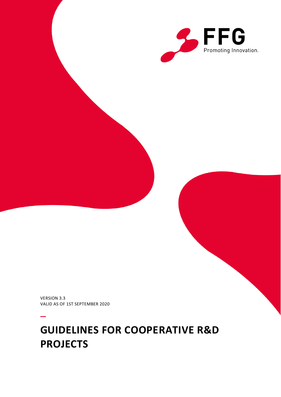

VERSION 3.3 VALID AS OF 1ST SEPTEMBER 2020

–

# **GUIDELINES FOR COOPERATIVE R&D PROJECTS**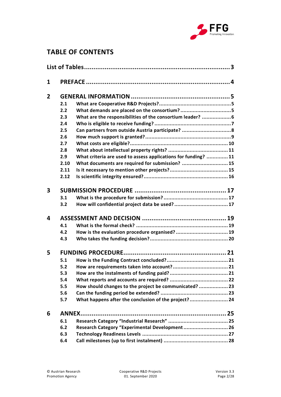

# **TABLE OF CONTENTS**

| 1              |      |                                                                |  |
|----------------|------|----------------------------------------------------------------|--|
| $\overline{2}$ |      |                                                                |  |
|                | 2.1  |                                                                |  |
|                | 2.2  |                                                                |  |
|                | 2.3  | What are the responsibilities of the consortium leader?  6     |  |
|                | 2.4  |                                                                |  |
|                | 2.5  | Can partners from outside Austria participate?  8              |  |
|                | 2.6  |                                                                |  |
|                | 2.7  |                                                                |  |
|                | 2.8  |                                                                |  |
|                | 2.9  | What criteria are used to assess applications for funding?  11 |  |
|                | 2.10 | What documents are required for submission?  15                |  |
|                | 2.11 |                                                                |  |
|                | 2.12 |                                                                |  |
| 3              |      |                                                                |  |
|                | 3.1  |                                                                |  |
|                | 3.2  |                                                                |  |
| 4              |      |                                                                |  |
|                | 4.1  |                                                                |  |
|                | 4.2  | How is the evaluation procedure organised?  19                 |  |
|                | 4.3  |                                                                |  |
| 5              |      |                                                                |  |
|                | 5.1  |                                                                |  |
|                | 5.2  |                                                                |  |
|                | 5.3  |                                                                |  |
|                | 5.4  |                                                                |  |
|                | 5.5  | How should changes to the project be communicated?  23         |  |
|                | 5.6  |                                                                |  |
|                | 5.7  | What happens after the conclusion of the project? 24           |  |
| 6              |      |                                                                |  |
|                | 6.1  |                                                                |  |
|                | 6.2  | Research Category "Experimental Development 26                 |  |
|                | 6.3  |                                                                |  |
|                | 6.4  |                                                                |  |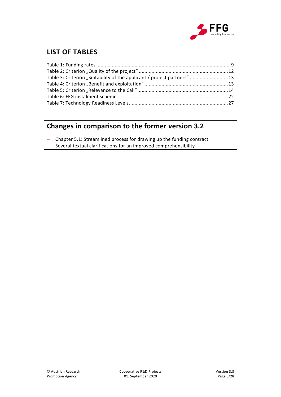

# <span id="page-2-0"></span>**LIST OF TABLES**

| Table 3: Criterion "Suitability of the applicant / project partners" 13 |  |
|-------------------------------------------------------------------------|--|
|                                                                         |  |
|                                                                         |  |
|                                                                         |  |
|                                                                         |  |

# **Changes in comparison to the former version 3.2**

- Chapter 5.1: Streamlined process for drawing up the funding contract
- Several textual clarifications for an improved comprehensibility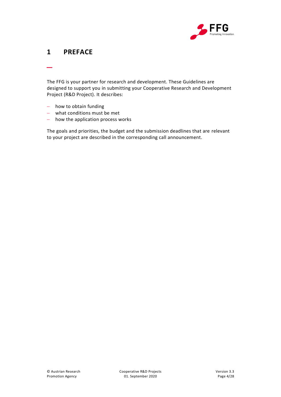

# <span id="page-3-0"></span>**1 PREFACE**

\_

The FFG is your partner for research and development. These Guidelines are designed to support you in submitting your Cooperative Research and Development Project (R&D Project). It describes:

- how to obtain funding
- what conditions must be met
- how the application process works

The goals and priorities, the budget and the submission deadlines that are relevant to your project are described in the corresponding call announcement.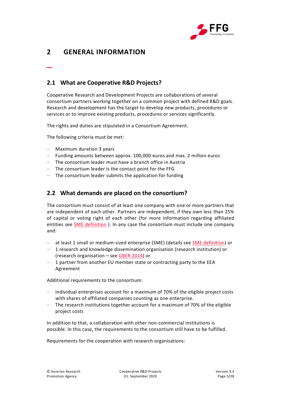

# <span id="page-4-0"></span>**2 GENERAL INFORMATION**

<span id="page-4-1"></span>**2.1 What are Cooperative R&D Projects?**

Cooperative Research and Development Projects are collaborations of several consortium partners working together on a common project with defined R&D goals. Research and development has the target to develop new products, procedures or services or to improve existing products, procedures or services significantly.

The rights and duties are stipulated in a Consortium Agreement.

The following criteria must be met:

Maximum duration 3 years

\_

- Funding amounts between approx. 100,000 euros and max. 2 million euros
- The consortium leader must have a branch office in Austria
- The consortium leader is the contact point for the FFG
- $-$  The consortium leader submits the application for funding

### <span id="page-4-2"></span>**2.2 What demands are placed on the consortium?**

The consortium must consist of at least one company with one or more partners that are independent of each other. Partners are independent, if they own less than 25% of capital or voting right of each other (for more information regarding affiliated entities see [SME definition](https://www.ffg.at/recht-finanzen/rechtliches_service_KMU) ). In any case the consortium must include one company and:

- at least 1 small or medium-sized enterprise (SME) (details see [SME definition\)](https://www.ffg.at/recht-finanzen/rechtliches_service_KMU) or
- 1 research and knowledge dissemination organisation (research institution) or (research organisation – see GBER [2014\)](https://eur-lex.europa.eu/legal-content/EN/TXT/PDF/?uri=CELEX:32014R0651&from=DE) or
- 1 partner from another EU member state or contracting party to the EEA Agreement

Additional requirements to the consortium:

- $-$  Individual enterprises account for a maximum of 70% of the eligible project costs with shares of affiliated companies counting as one enterprise.
- The research institutions together account for a maximum of 70% of the eligible project costs

In addition to that, a collaboration with other non-commercial institutions is possible. In this case, the requirements to the consortium still have to be fulfilled.

Requirements for the cooperation with research organisations: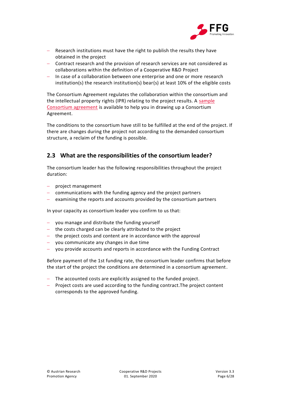

- Research institutions must have the right to publish the results they have obtained in the project
- Contract research and the provision of research services are not considered as collaborations within the definition of a Cooperative R&D Project
- In case of a collaboration between one enterprise and one or more research institution(s) the research institution(s) bear(s) at least 10% of the eligible costs

The Consortium Agreement regulates the collaboration within the consortium and the intellectual property rights (IPR) relating to the project results. A [sample](http://www.ffg.at/konsortialvertrag)  [Consortium agreement](http://www.ffg.at/konsortialvertrag) is available to help you in drawing up a Consortium Agreement.

The conditions to the consortium have still to be fulfilled at the end of the project. If there are changes during the project not according to the demanded consortium structure, a reclaim of the funding is possible.

### <span id="page-5-0"></span>**2.3 What are the responsibilities of the consortium leader?**

The consortium leader has the following responsibilities throughout the project duration:

- project management
- communications with the funding agency and the project partners
- examining the reports and accounts provided by the consortium partners

In your capacity as consortium leader you confirm to us that:

- you manage and distribute the funding yourself
- $-$  the costs charged can be clearly attributed to the project
- $-$  the project costs and content are in accordance with the approval
- you communicate any changes in due time
- you provide accounts and reports in accordance with the Funding Contract

Before payment of the 1st funding rate, the consortium leader confirms that before the start of the project the conditions are determined in a consortium agreement.

- The accounted costs are explicitly assigned to the funded project.
- Project costs are used according to the funding contract. The project content corresponds to the approved funding.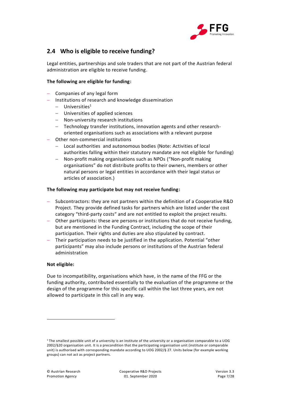

### <span id="page-6-0"></span>**2.4 Who is eligible to receive funding?**

Legal entities, partnerships and sole traders that are not part of the Austrian federal administration are eligible to receive funding.

### **The following are eligible for funding:**

- Companies of any legal form
- Institutions of research and knowledge dissemination
	- $-$  Universities<sup>1</sup>
	- Universities of applied sciences
	- Non-university research institutions
	- Technology transfer institutions, innovation agents and other researchoriented organisations such as associations with a relevant purpose
- Other non-commercial institutions
	- Local authorities and autonomous bodies (Note: Activities of local authorities falling within their statutory mandate are not eligible for funding)
	- Non-profit making organisations such as NPOs ("Non-profit making organisations" do not distribute profits to their owners, members or other natural persons or legal entities in accordance with their legal status or articles of association.)

#### **The following may participate but may not receive funding:**

- Subcontractors: they are not partners within the definition of a Cooperative R&D Project. They provide defined tasks for partners which are listed under the cost category "third-party costs" and are not entitled to exploit the project results.
- Other participants: these are persons or institutions that do not receive funding, but are mentioned in the Funding Contract, including the scope of their participation. Their rights and duties are also stipulated by contract.
- Their participation needs to be justified in the application. Potential "other participants" may also include persons or institutions of the Austrian federal administration

#### **Not eligible:**

 $\ddot{\phantom{a}}$ 

Due to incompatibility, organisations which have, in the name of the FFG or the funding authority, contributed essentially to the evaluation of the programme or the design of the programme for this specific call within the last three years, are not allowed to participate in this call in any way.

<sup>1</sup> The smallest possible unit of a university is an institute of the university or a organisation comparable to a UOG 2002/§20 organisation unit. It is a precondition that the participating organisation unit (institute or comparable unit) is authorised with corresponding mandate according to UOG 2002/§ 27. Units below (for example working groups) can not act as project partners.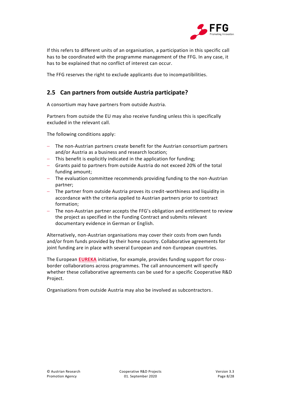

If this refers to different units of an organisation, a participation in this specific call has to be coordinated with the programme management of the FFG. In any case, it has to be explained that no conflict of interest can occur.

The FFG reserves the right to exclude applicants due to incompatibilities.

## <span id="page-7-0"></span>**2.5 Can partners from outside Austria participate?**

A consortium may have partners from outside Austria.

Partners from outside the EU may also receive funding unless this is specifically excluded in the relevant call.

The following conditions apply:

- The non-Austrian partners create benefit for the Austrian consortium partners and/or Austria as a business and research location;
- This benefit is explicitly indicated in the application for funding;
- Grants paid to partners from outside Austria do not exceed 20% of the total funding amount;
- The evaluation committee recommends providing funding to the non-Austrian partner;
- The partner from outside Austria proves its credit-worthiness and liquidity in accordance with the criteria applied to Austrian partners prior to contract formation;
- The non-Austrian partner accepts the FFG's obligation and entitlement to review the project as specified in the Funding Contract and submits relevant documentary evidence in German or English.

Alternatively, non-Austrian organisations may cover their costs from own funds and/or from funds provided by their home country. Collaborative agreements for joint funding are in place with several European and non-European countries.

The European **[EUREKA](https://www.ffg.at/europa/eureka)** initiative, for example, provides funding support for crossborder collaborations across programmes. The call announcement will specify whether these collaborative agreements can be used for a specific Cooperative R&D Project.

Organisations from outside Austria may also be involved as subcontractors.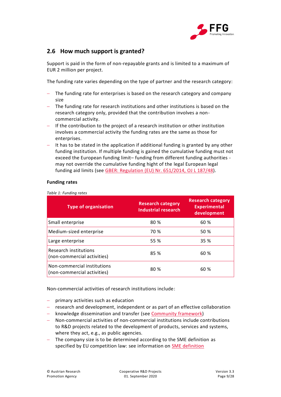

### <span id="page-8-0"></span>**2.6 How much support is granted?**

Support is paid in the form of non-repayable grants and is limited to a maximum of EUR 2 million per project.

The funding rate varies depending on the type of partner and the research category:

- The funding rate for enterprises is based on the research category and company size
- The funding rate for research institutions and other institutions is based on the research category only, provided that the contribution involves a noncommercial activity.
- If the contribution to the project of a research institution or other institution involves a commercial activity the funding rates are the same as those for enterprises.
- It has to be stated in the application if additional funding is granted by any other funding institution. If multiple funding is gained the cumulative funding must not exceed the European funding limit– funding from different funding authorities may not override the cumulative funding hight of the legal European legal funding aid limits (see [GBER: Regulation \(EU\) Nr. 651/2014, OJ](https://eur-lex.europa.eu/legal-content/EN/TXT/PDF/?uri=CELEX:32014R0651&from=DE) L 187/48).

#### **Funding rates**

<span id="page-8-1"></span>*Table 1: Funding rates*

| <b>Type of organisation</b>                                | <b>Research category</b><br>Industrial research | <b>Research category</b><br><b>Experimental</b><br>development |
|------------------------------------------------------------|-------------------------------------------------|----------------------------------------------------------------|
| Small enterprise                                           | 80 %                                            | 60 %                                                           |
| Medium-sized enterprise                                    | 70 %                                            | 50 %                                                           |
| Large enterprise                                           | 55 %                                            | 35 %                                                           |
| Research institutions<br>(non-commercial activities)       | 85 %                                            | 60 %                                                           |
| Non-commercial institutions<br>(non-commercial activities) | 80 %                                            | 60 %                                                           |

Non-commercial activities of research institutions include:

- primary activities such as education
- research and development, independent or as part of an effective collaboration
- knowledge dissemination and transfer (see [Community framework\)](https://eur-lex.europa.eu/legal-content/EN/TXT/PDF/?uri=CELEX:52014XC0627(01)&from=EN)
- Non-commercial activities of non-commercial institutions include contributions to R&D projects related to the development of products, services and systems, where they act, e.g., as public agencies.
- The company size is to be determined according to the SME definition as specified by EU competition law: see information on **SME definition**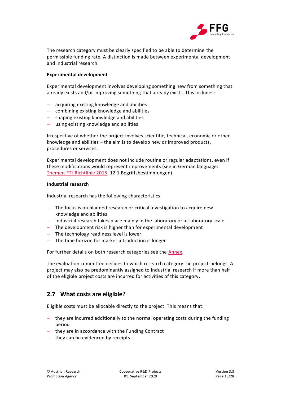

The research category must be clearly specified to be able to determine the permissible funding rate. A distinction is made between experimental development and industrial research.

#### **Experimental development**

Experimental development involves developing something new from something that already exists and/or improving something that already exists. This includes:

- acquiring existing knowledge and abilities
- combining existing knowledge and abilities
- shaping existing knowledge and abilities
- using existing knowledge and abilities

Irrespective of whether the project involves scientific, technical, economic or other knowledge and abilities – the aim is to develop new or improved products, procedures or services.

Experimental development does not include routine or regular adaptations, even if these modifications would represent improvements (see in German language: [Themen-FTI-Richtlinie 2015,](https://www.ffg.at/sites/default/files/downloads/page/richtlinie_fti_2015_themen.pdf) 12.1 Begriffsbestimmungen).

#### **Industrial research**

Industrial research has the following characteristics:

- The focus is on planned research or critical investigation to acquire new knowledge and abilities
- $-$  Industrial research takes place mainly in the laboratory or at laboratory scale
- The development risk is higher than for experimental development
- The technology readiness level is lower
- The time horizon for market introduction is longer

For further details on both research categories see the [Annex.](#page-24-0)

The evaluation committee decides to which research category the project belongs. A project may also be predominantly assigned to industrial research if more than half of the eligible project costs are incurred for activities of this category.

### <span id="page-9-0"></span>**2.7 What costs are eligible?**

Eligible costs must be allocable directly to the project. This means that:

- they are incurred additionally to the normal operating costs during the funding period
- $-$  they are in accordance with the Funding Contract
- $-$  they can be evidenced by receipts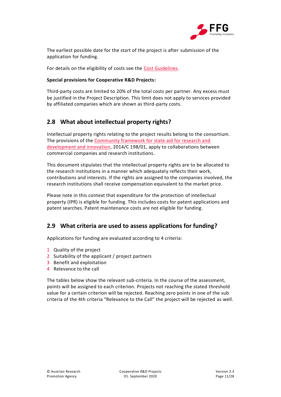

The earliest possible date for the start of the project is after submission of the application for funding.

For details on the eligibility of costs see the [Cost Guidelines.](https://www.ffg.at/recht-finanzen/kostenleitfaden)

### **Special provisions for Cooperative R&D Projects:**

Third-party costs are limited to 20% of the total costs per partner. Any excess must be justified in the Project Description. This limit does not apply to services provided by affiliated companies which are shown as third-party costs.

### <span id="page-10-0"></span>**2.8 What about intellectual property rights?**

Intellectual property rights relating to the project results belong to the consortium. The provisions of the [Community framework for state aid for research and](https://eur-lex.europa.eu/legal-content/EN/TXT/PDF/?uri=CELEX:52014XC0627(01)&from=EN)  [development and innovation,](https://eur-lex.europa.eu/legal-content/EN/TXT/PDF/?uri=CELEX:52014XC0627(01)&from=EN) 2014/C 198/01, apply to collaborations between commercial companies and research institutions.

This document stipulates that the intellectual property rights are to be allocated to the research institutions in a manner which adequately reflects their work, contributions and interests. If the rights are assigned to the companies involved, the research institutions shall receive compensation equivalent to the market price.

Please note in this context that expenditure for the protection of intellectual property (IPR) is eligible for funding. This includes costs for patent applications and patent searches. Patent maintenance costs are not eligible for funding.

### <span id="page-10-1"></span>**2.9 What criteria are used to assess applications for funding?**

Applications for funding are evaluated according to 4 criteria:

- 1 Quality of the project
- 2 Suitability of the applicant / project partners
- 3 Benefit and exploitation
- 4 Relevance to the call

The tables below show the relevant sub-criteria. In the course of the assessment, points will be assigned to each criterion. Projects not reaching the stated threshold value for a certain criterion will be rejected. Reaching zero points in one of the sub criteria of the 4th criteria "Relevance to the Call" the project will be rejected as well.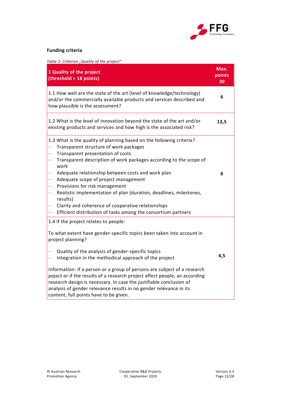

### **Funding criteria**

<span id="page-11-0"></span>*Table 2: Criterion "Quality of the project"* 

| 1 Quality of the project<br>(threshold = 18 points)                                                                                                                                                                                                                                                                                                                                                                                                                                                                                                                                                                  | Max.<br>points<br>30 |
|----------------------------------------------------------------------------------------------------------------------------------------------------------------------------------------------------------------------------------------------------------------------------------------------------------------------------------------------------------------------------------------------------------------------------------------------------------------------------------------------------------------------------------------------------------------------------------------------------------------------|----------------------|
| 1.1 How well are the state of the art (level of knowledge/technology)<br>and/or the commercially available products and services described and<br>how plausible is the assessment?                                                                                                                                                                                                                                                                                                                                                                                                                                   | 6                    |
| 1.2 What is the level of innovation beyond the state of the art and/or<br>existing products and services and how high is the associated risk?                                                                                                                                                                                                                                                                                                                                                                                                                                                                        | 13,5                 |
| 1.3 What is the quality of planning based on the following criteria?<br>Transparent structure of work packages<br>Transparent presentation of costs<br>$\overline{\phantom{0}}$<br>Transparent description of work packages according to the scope of<br>—<br>work<br>Adequate relationship between costs and work plan<br>Adequate scope of project management<br>—<br>Provisions for risk management<br>Realistic implementation of plan (duration, deadlines, milestones,<br>—<br>results)<br>Clarity and coherence of cooperative relationships<br>Efficient distribution of tasks among the consortium partners | 6                    |
| 1.4 If the project relates to people:<br>To what extent have gender-specific topics been taken into account in<br>project planning?<br>Quality of the analysis of gender-specific topics<br>Integration in the methodical approach of the project<br>Information: If a person or a group of persons are subject of a research<br>poject or if the results of a research project affect people, an according<br>research design is necessary. In case the justifiable conclusion of<br>analysis of gender relevance results in no gender relevance in its<br>content, full points have to be given.                   | 4,5                  |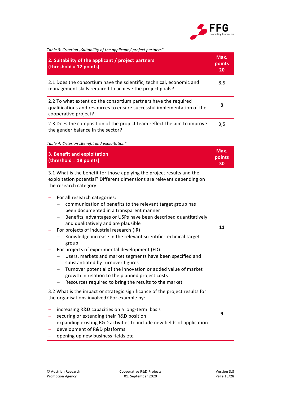

<span id="page-12-0"></span>

| Table 3: Criterion "Suitability of the applicant / project partners"                                                                                               |                      |  |
|--------------------------------------------------------------------------------------------------------------------------------------------------------------------|----------------------|--|
| 2. Suitability of the applicant / project partners<br>$(threshold = 12 points)$                                                                                    | Max.<br>points<br>20 |  |
| 2.1 Does the consortium have the scientific, technical, economic and<br>management skills required to achieve the project goals?                                   | 8,5                  |  |
| 2.2 To what extent do the consortium partners have the required<br>qualifications and resources to ensure successful implementation of the<br>cooperative project? | 8                    |  |
| 2.3 Does the composition of the project team reflect the aim to improve<br>the gender balance in the sector?                                                       | 3,5                  |  |

<span id="page-12-1"></span>**Table 4**: Criterion "Benefit and exploitation"

|        | 3. Benefit and exploitation<br>(threshold = 18 points)                                                                                                                                                                                                                                                                                                                                                                                                                                                                                                                                                                                                                                                  | Max.<br>points<br>30 |
|--------|---------------------------------------------------------------------------------------------------------------------------------------------------------------------------------------------------------------------------------------------------------------------------------------------------------------------------------------------------------------------------------------------------------------------------------------------------------------------------------------------------------------------------------------------------------------------------------------------------------------------------------------------------------------------------------------------------------|----------------------|
|        | 3.1 What is the benefit for those applying the project results and the<br>exploitation potential? Different dimensions are relevant depending on<br>the research category:                                                                                                                                                                                                                                                                                                                                                                                                                                                                                                                              |                      |
|        | For all research categories:<br>communication of benefits to the relevant target group has<br>been documented in a transparent manner<br>Benefits, advantages or USPs have been described quantitatively<br>and qualitatively and are plausible<br>For projects of industrial research (IR)<br>Knowledge increase in the relevant scientific-technical target<br>group<br>For projects of experimental development (ED)<br>Users, markets and market segments have been specified and<br>substantiated by turnover figures<br>Turnover potential of the innovation or added value of market<br>growth in relation to the planned project costs<br>Resources required to bring the results to the market | 11                   |
|        | 3.2 What is the impact or strategic significance of the project results for<br>the organisations involved? For example by:                                                                                                                                                                                                                                                                                                                                                                                                                                                                                                                                                                              |                      |
| -<br>- | increasing R&D capacities on a long-term basis<br>securing or extending their R&D position<br>expanding existing R&D activities to include new fields of application<br>development of R&D platforms<br>opening up new business fields etc.                                                                                                                                                                                                                                                                                                                                                                                                                                                             | 9                    |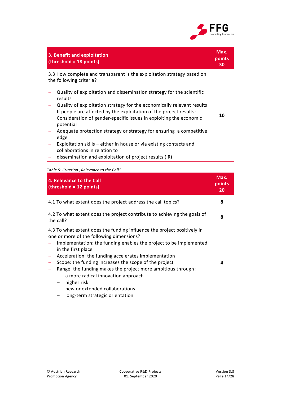

| 3. Benefit and exploitation<br>(threshold = 18 points)                                                                                                                                                                          | Max.<br>points<br>30 |
|---------------------------------------------------------------------------------------------------------------------------------------------------------------------------------------------------------------------------------|----------------------|
| 3.3 How complete and transparent is the exploitation strategy based on<br>the following criteria?                                                                                                                               |                      |
| Quality of exploitation and dissemination strategy for the scientific<br>results                                                                                                                                                |                      |
| Quality of exploitation strategy for the economically relevant results<br>If people are affected by the exploitation of the project results:<br>Consideration of gender-specific issues in exploiting the economic<br>potential | 10                   |
| Adequate protection strategy or strategy for ensuring a competitive<br>edge                                                                                                                                                     |                      |
| Exploitation skills – either in house or via existing contacts and<br>collaborations in relation to<br>discomination and ovaloitation of project results (ID)                                                                   |                      |

dissemination and exploitation of project results (IR)

#### <span id="page-13-0"></span>Table 5: Criterion "Relevance to the Call"

| 4. Relevance to the Call<br>(threshold = 12 points)                                                                                                                                                                                                                                                                                                                                                                                                                                                                       | Max.<br>points<br>20 |
|---------------------------------------------------------------------------------------------------------------------------------------------------------------------------------------------------------------------------------------------------------------------------------------------------------------------------------------------------------------------------------------------------------------------------------------------------------------------------------------------------------------------------|----------------------|
| 4.1 To what extent does the project address the call topics?                                                                                                                                                                                                                                                                                                                                                                                                                                                              | 8                    |
| 4.2 To what extent does the project contribute to achieving the goals of<br>the call?                                                                                                                                                                                                                                                                                                                                                                                                                                     | 8                    |
| 4.3 To what extent does the funding influence the project positively in<br>one or more of the following dimensions?<br>Implementation: the funding enables the project to be implemented<br>in the first place<br>Acceleration: the funding accelerates implementation<br>Scope: the funding increases the scope of the project<br>Range: the funding makes the project more ambitious through:<br>a more radical innovation approach<br>higher risk<br>new or extended collaborations<br>long-term strategic orientation | 4                    |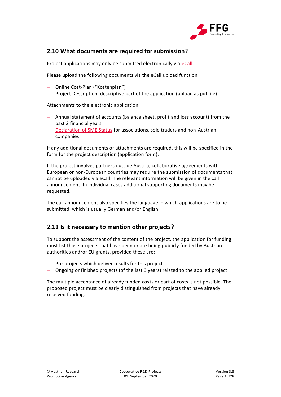

### <span id="page-14-0"></span>**2.10 What documents are required for submission?**

Project applications may only be submitted electronically via [eCall.](https://ecall.ffg.at/)

Please upload the following documents via the eCall upload function

- Online Cost-Plan ("Kostenplan")
- Project Description: descriptive part of the application (upload as pdf file)

Attachments to the electronic application

- Annual statement of accounts (balance sheet, profit and loss account) from the past 2 financial years
- [Declaration of SME Status](https://www.ffg.at/sites/default/files/downloads/page/e_eidesstatt_erklaerung_kmu-status_0.pdf) for associations, sole traders and non-Austrian companies

If any additional documents or attachments are required, this will be specified in the form for the project description (application form).

If the project involves partners outside Austria, collaborative agreements with European or non-European countries may require the submission of documents that cannot be uploaded via eCall. The relevant information will be given in the call announcement. In individual cases additional supporting documents may be requested.

The call announcement also specifies the language in which applications are to be submitted, which is usually German and/or English

### <span id="page-14-1"></span>**2.11 Is it necessary to mention other projects?**

To support the assessment of the content of the project, the application for funding must list those projects that have been or are being publicly funded by Austrian authorities and/or EU grants, provided these are:

- Pre-projects which deliver results for this project
- Ongoing or finished projects (of the last 3 years) related to the applied project

The multiple acceptance of already funded costs or part of costs is not possible. The proposed project must be clearly distinguished from projects that have already received funding.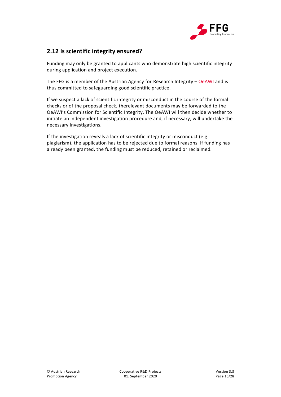

### <span id="page-15-0"></span>**2.12 Is scientific integrity ensured?**

Funding may only be granted to applicants who demonstrate high scientific integrity during application and project execution.

The FFG is a member of the Austrian Agency for Research Integrity - [OeAWI](https://oeawi.at/en/statutes-3/) and is thus committed to safeguarding good scientific practice.

If we suspect a lack of scientific integrity or misconduct in the course of the formal checks or of the proposal check, therelevant documents may be forwarded to the OeAWI's Commission for Scientific Integrity. The OeAWI will then decide whether to initiate an independent investigation procedure and, if necessary, will undertake the necessary investigations.

If the investigation reveals a lack of scientific integrity or misconduct (e.g. plagiarism), the application has to be rejected due to formal reasons. If funding has already been granted, the funding must be reduced, retained or reclaimed.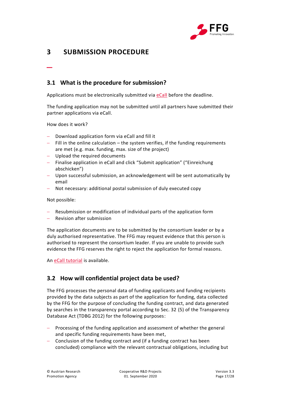

# <span id="page-16-0"></span>**3 SUBMISSION PROCEDURE**

### <span id="page-16-1"></span>**3.1 What is the procedure for submission?**

Applications must be electronically submitted via [eCall](https://ecall.ffg.at/) before the deadline.

The funding application may not be submitted until all partners have submitted their partner applications via eCall.

How does it work?

\_

- Download application form via eCall and fill it
- $-$  Fill in the online calculation  $-$  the system verifies, if the funding requirements are met (e.g. max. funding, max. size of the project)
- Upload the required documents
- Finalise application in eCall and click "Submit application" ("Einreichung abschicken")
- Upon successful submission, an acknowledgement will be sent automatically by email
- Not necessary: additional postal submission of duly executed copy

Not possible:

- Resubmission or modification of individual parts of the application form
- Revision after submission

The application documents are to be submitted by the consortium leader or by a duly authorised representative. The FFG may request evidence that this person is authorised to represent the consortium leader. If you are unable to provide such evidence the FFG reserves the right to reject the application for formal reasons.

An [eCall tutorial](https://ecall.ffg.at/tutorial) is available.

### <span id="page-16-2"></span>**3.2 How will confidential project data be used?**

The FFG processes the personal data of funding applicants and funding recipients provided by the data subjects as part of the application for funding, data collected by the FFG for the purpose of concluding the funding contract, and data generated by searches in the transparency portal according to Sec. 32 (5) of the Transparency Database Act (TDBG 2012) for the following purposes:

- Processing of the funding application and assessment of whether the general and specific funding requirements have been met,
- Conclusion of the funding contract and (if a funding contract has been concluded) compliance with the relevant contractual obligations, including but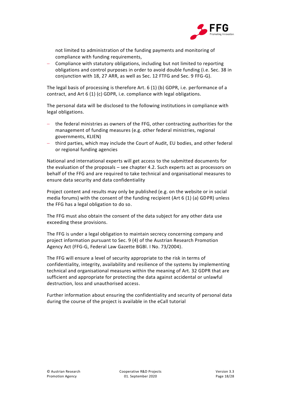

not limited to administration of the funding payments and monitoring of compliance with funding requirements,

 Compliance with statutory obligations, including but not limited to reporting obligations and control purposes in order to avoid double funding (i.e. Sec. 38 in conjunction with 18, 27 ARR, as well as Sec. 12 FTFG and Sec. 9 FFG-G).

The legal basis of processing is therefore Art. 6 (1) (b) GDPR, i.e. performance of a contract, and Art 6 (1) (c) GDPR, i.e. compliance with legal obligations.

The personal data will be disclosed to the following institutions in compliance with legal obligations.

- the federal ministries as owners of the FFG, other contracting authorities for the management of funding measures (e.g. other federal ministries, regional governments, KLIEN)
- third parties, which may include the Court of Audit, EU bodies, and other federal or regional funding agencies

National and international experts will get access to the submitted documents for the evaluation of the proposals – see chapter [4.2.](#page-18-2) Such experts act as processors on behalf of the FFG and are required to take technical and organisational measures to ensure data security and data confidentiality

Project content and results may only be published (e.g. on the website or in social media forums) with the consent of the funding recipient (Art 6 (1) (a) GDPR) unless the FFG has a legal obligation to do so.

The FFG must also obtain the consent of the data subject for any other data use exceeding these provisions.

The FFG is under a legal obligation to maintain secrecy concerning company and project information pursuant to Sec. 9 (4) of the Austrian Research Promotion Agency Act (FFG-G, Federal Law Gazette BGBl. I No. 73/2004).

The FFG will ensure a level of security appropriate to the risk in terms of confidentiality, integrity, availability and resilience of the systems by implementing technical and organisational measures within the meaning of Art. 32 GDPR that are sufficient and appropriate for protecting the data against accidental or unlawful destruction, loss and unauthorised access.

Further information about ensuring the confidentiality and security of personal data during the course of the project is available in the eCall tutorial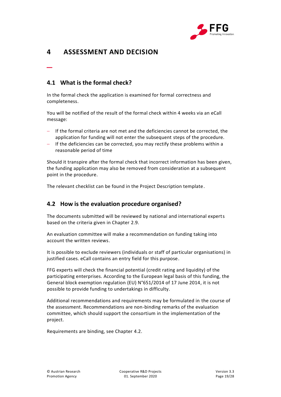

# <span id="page-18-0"></span>**4 ASSESSMENT AND DECISION**

### <span id="page-18-1"></span>**4.1 What is the formal check?**

\_

In the formal check the application is examined for formal correctness and completeness.

You will be notified of the result of the formal check within 4 weeks via an eCall message:

- If the formal criteria are not met and the deficiencies cannot be corrected, the application for funding will not enter the subsequent steps of the procedure.
- If the deficiencies can be corrected, you may rectify these problems within a reasonable period of time

Should it transpire after the formal check that incorrect information has been given, the funding application may also be removed from consideration at a subsequent point in the procedure.

The relevant checklist can be found in the Project Description template.

### <span id="page-18-2"></span>**4.2 How is the evaluation procedure organised?**

The documents submitted will be reviewed by national and international experts based on the criteria given in Chapter [2.9.](#page-10-1)

An evaluation committee will make a recommendation on funding taking into account the written reviews.

It is possible to exclude reviewers (individuals or staff of particular organisations) in justified cases. eCall contains an entry field for this purpose.

FFG experts will check the financial potential (credit rating and liquidity) of the participating enterprises. According to the European legal basis of this funding, the General block exemption regulation (EU) N°651/2014 of 17 June 2014, it is not possible to provide funding to undertakings in difficulty.

Additional recommendations and requirements may be formulated in the course of the assessment. Recommendations are non-binding remarks of the evaluation committee, which should support the consortium in the implementation of the project.

Requirements are binding, see Chapter [4.2.](#page-18-2)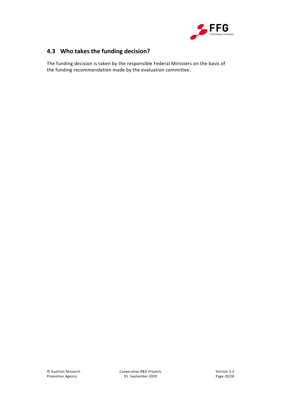

# <span id="page-19-0"></span>**4.3 Who takes the funding decision?**

The funding decision is taken by the responsible Federal Ministers on the basis of the funding recommendation made by the evaluation committee.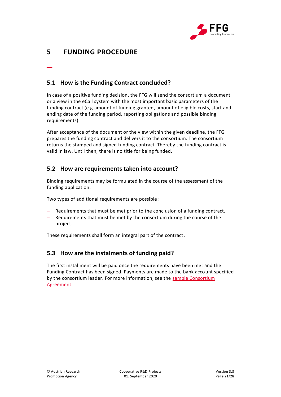

# <span id="page-20-0"></span>**5 FUNDING PROCEDURE**

\_

### <span id="page-20-1"></span>**5.1 How is the Funding Contract concluded?**

In case of a positive funding decision, the FFG will send the consortium a document or a view in the eCall system with the most important basic parameters of the funding contract (e.g.amount of funding granted, amount of eligible costs, start and ending date of the funding period, reporting obligations and possible binding requirements).

After acceptance of the document or the view within the given deadline, the FFG prepares the funding contract and delivers it to the consortium. The consortium returns the stamped and signed funding contract. Thereby the funding contract is valid in law. Until then, there is no title for being funded.

### <span id="page-20-2"></span>**5.2 How are requirements taken into account?**

Binding requirements may be formulated in the course of the assessment of the funding application.

Two types of additional requirements are possible:

- Requirements that must be met prior to the conclusion of a funding contract.
- Requirements that must be met by the consortium during the course of the project.

These requirements shall form an integral part of the contract.

### <span id="page-20-3"></span>**5.3 How are the instalments of funding paid?**

The first installment will be paid once the requirements have been met and the Funding Contract has been signed. Payments are made to the bank account specified by the consortium leader. For more information, see the [sample Consortium](https://www.ffg.at/Konsortialvertrag)  [Agreement.](https://www.ffg.at/Konsortialvertrag)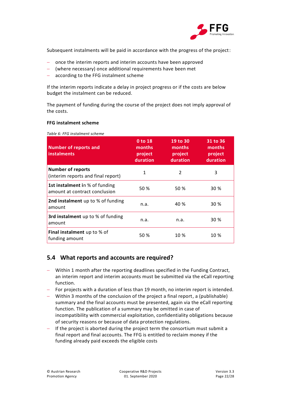

Subsequent instalments will be paid in accordance with the progress of the project:

- once the interim reports and interim accounts have been approved
- (where necessary) once additional requirements have been met
- according to the FFG instalment scheme

If the interim reports indicate a delay in project progress or if the costs are below budget the instalment can be reduced.

The payment of funding during the course of the project does not imply approval of the costs.

#### **FFG instalment scheme**

| <b>Number of reports and</b><br>instalments                     | 0 to 18<br>months<br>project<br>duration | 19 to 30<br>months<br>project<br>duration | 31 to 36<br>months<br>project<br>duration |
|-----------------------------------------------------------------|------------------------------------------|-------------------------------------------|-------------------------------------------|
| <b>Number of reports</b><br>(interim reports and final report)  | 1                                        | 2                                         | 3                                         |
| 1st instalment in % of funding<br>amount at contract conclusion | 50 %                                     | 50 %                                      | 30 %                                      |
| 2nd instalment up to % of funding<br>amount                     | n.a.                                     | 40 %                                      | 30 %                                      |
| 3rd instalment up to % of funding<br>amount                     | n.a.                                     | n.a.                                      | 30 %                                      |
| Final instalment up to % of<br>funding amount                   | 50 %                                     | 10 %                                      | 10 %                                      |

#### <span id="page-21-1"></span>*Table 6: FFG instalment scheme*

### <span id="page-21-0"></span>**5.4 What reports and accounts are required?**

- Within 1 month after the reporting deadlines specified in the Funding Contract, an interim report and interim accounts must be submitted via the eCall reporting function.
- For projects with a duration of less than 19 month, no interim report is intended.
- Within 3 months of the conclusion of the project a final report, a (publishable) summary and the final accounts must be presented, again via the eCall reporting function. The publication of a summary may be omitted in case of incompatibility with commercial exploitation, confidentiality obligations because of security reasons or because of data protection regulations.
- $-$  If the project is aborted during the project term the consortium must submit a final report and final accounts. The FFG is entitled to reclaim money if the funding already paid exceeds the eligible costs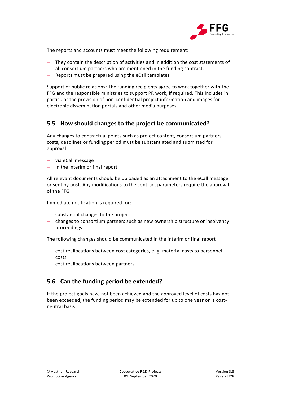

The reports and accounts must meet the following requirement:

- They contain the description of activities and in addition the cost statements of all consortium partners who are mentioned in the funding contract.
- Reports must be prepared using the eCall templates

Support of public relations: The funding recipients agree to work together with the FFG and the responsible ministries to support PR work, if required. This includes in particular the provision of non-confidential project information and images for electronic dissemination portals and other media purposes.

### <span id="page-22-0"></span>**5.5 How should changes to the project be communicated?**

Any changes to contractual points such as project content, consortium partners, costs, deadlines or funding period must be substantiated and submitted for approval:

- via eCall message
- $-$  in the interim or final report

All relevant documents should be uploaded as an attachment to the eCall message or sent by post. Any modifications to the contract parameters require the approval of the FFG

Immediate notification is required for:

- $-$  substantial changes to the project
- changes to consortium partners such as new ownership structure or insolvency proceedings

The following changes should be communicated in the interim or final report:

- cost reallocations between cost categories, e. g. material costs to personnel costs
- cost reallocations between partners

### <span id="page-22-1"></span>**5.6 Can the funding period be extended?**

If the project goals have not been achieved and the approved level of costs has not been exceeded, the funding period may be extended for up to one year on a costneutral basis.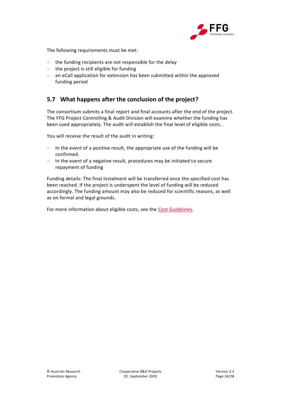

The following requirements must be met:

- $-$  the funding recipients are not responsible for the delay
- $-$  the project is still eligible for funding
- an eCall application for extension has been submitted within the approved funding period

### <span id="page-23-0"></span>**5.7 What happens after the conclusion of the project?**

The consortium submits a final report and final accounts after the end of the project. The FFG Project Controlling & Audit Division will examine whether the funding has been used appropriately. The audit will establish the final level of eligible costs..

You will receive the result of the audit in writing:

- $-$  In the event of a positive result, the appropriate use of the funding will be confirmed.
- $-$  In the event of a negative result, procedures may be initiated to secure repayment of funding

Funding details: The final instalment will be transferred once the specified cost has been reached. If the project is underspent the level of funding will be reduced accordingly. The funding amount may also be reduced for scientific reasons, as well as on formal and legal grounds.

For more information about eligible costs, see the [Cost Guidelines.](https://www.ffg.at/recht-finanzen/kostenleitfaden)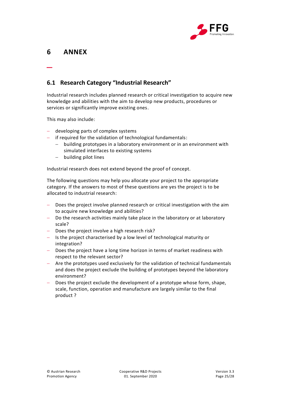

# <span id="page-24-0"></span>**6 ANNEX**

\_

### <span id="page-24-1"></span>**6.1 Research Category "Industrial Research"**

Industrial research includes planned research or critical investigation to acquire new knowledge and abilities with the aim to develop new products, procedures or services or significantly improve existing ones.

This may also include:

- developing parts of complex systems
- if required for the validation of technological fundamentals:
	- building prototypes in a laboratory environment or in an environment with simulated interfaces to existing systems
	- building pilot lines

Industrial research does not extend beyond the proof of concept.

The following questions may help you allocate your project to the appropriate category. If the answers to most of these questions are yes the project is to be allocated to industrial research:

- Does the project involve planned research or critical investigation with the aim to acquire new knowledge and abilities?
- Do the research activities mainly take place in the laboratory or at laboratory scale?
- $-$  Does the project involve a high research risk?
- Is the project characterised by a low level of technological maturity or integration?
- Does the project have a long time horizon in terms of market readiness with respect to the relevant sector?
- Are the prototypes used exclusively for the validation of technical fundamentals and does the project exclude the building of prototypes beyond the laboratory environment?
- Does the project exclude the development of a prototype whose form, shape, scale, function, operation and manufacture are largely similar to the final product ?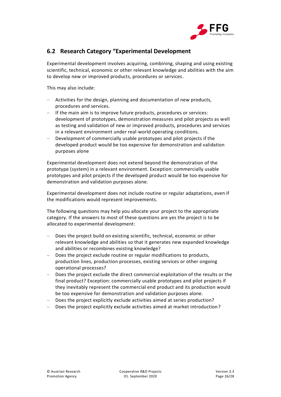

### <span id="page-25-0"></span>**6.2 Research Category "Experimental Development**

Experimental development involves acquiring, combining, shaping and using existing scientific, technical, economic or other relevant knowledge and abilities with the aim to develop new or improved products, procedures or services.

This may also include:

- Activities for the design, planning and documentation of new products, procedures and services.
- If the main aim is to improve future products, procedures or services: development of prototypes, demonstration measures and pilot projects as well as testing and validation of new or improved products, procedures and services in a relevant environment under real-world operating conditions.
- Development of commercially usable prototypes and pilot projects if the developed product would be too expensive for demonstration and validation purposes alone

Experimental development does not extend beyond the demonstration of the prototype (system) in a relevant environment. Exception: commercially usable prototypes and pilot projects if the developed product would be too expensive for demonstration and validation purposes alone.

Experimental development does not include routine or regular adaptations, even if the modifications would represent improvements.

The following questions may help you allocate your project to the appropriate category. If the answers to most of these questions are yes the project is to be allocated to experimental development:

- Does the project build on existing scientific, technical, economic or other relevant knowledge and abilities so that it generates new expanded knowledge and abilities or recombines existing knowledge?
- Does the project exclude routine or regular modifications to products, production lines, production processes, existing services or other ongoing operational processes?
- Does the project exclude the direct commercial exploitation of the results or the final product? Exception: commercially usable prototypes and pilot projects if they inevitably represent the commercial end product and its production would be too expensive for demonstration and validation purposes alone.
- Does the project explicitly exclude activities aimed at series production?
- Does the project explicitly exclude activities aimed at market introduction?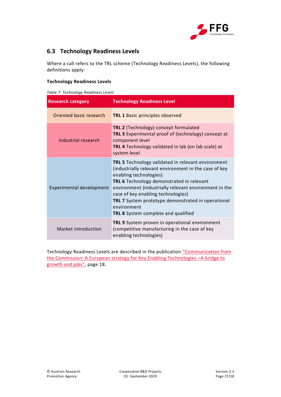

### <span id="page-26-0"></span>**6.3 Technology Readiness Levels**

Where a call refers to the TRL scheme (Technology Readiness Levels), the following definitions apply:

### **Technology Readiness Levels**

<span id="page-26-1"></span>*Table 7: Technology Readiness Levels*

| <b>Research category</b> | <b>Technology Readiness Level</b>                                                                                                                                                                                                                                                                                                                                                                                  |
|--------------------------|--------------------------------------------------------------------------------------------------------------------------------------------------------------------------------------------------------------------------------------------------------------------------------------------------------------------------------------------------------------------------------------------------------------------|
| Oriented basic research  | <b>TRL 1 Basic principles observed</b>                                                                                                                                                                                                                                                                                                                                                                             |
| Industrial research      | TRL 2 (Technology) concept formulated<br><b>TRL 3</b> Experimental proof of (technology) concept at<br>component level<br>TRL 4 Technology validated in lab (on lab scale) at<br>system level                                                                                                                                                                                                                      |
| Experimental development | <b>TRL 5</b> Technology validated in relevant environment<br>(industrially relevant environment in the case of key<br>enabling technologies)<br>TRL 6 Technology demonstrated in relevant<br>environment (industrially relevant environment in the<br>case of key enabling technologies)<br><b>TRL 7</b> System prototype demonstrated in operational<br>environment<br><b>TRL 8</b> System complete and qualified |
| Market introduction      | TRL 9 System proven in operational environment<br>(competitive manufacturing in the case of key<br>enabling technologies)                                                                                                                                                                                                                                                                                          |

Technology Readiness Levels are described in the publication "[Communication from](https://eur-lex.europa.eu/LexUriServ/LexUriServ.do?uri=COM:2012:0341:FIN:EN:PDF)  [the Commission: A European strategy for Key Enabling Technologies](https://eur-lex.europa.eu/LexUriServ/LexUriServ.do?uri=COM:2012:0341:FIN:EN:PDF) –A bridge to [growth and jobs](https://eur-lex.europa.eu/LexUriServ/LexUriServ.do?uri=COM:2012:0341:FIN:EN:PDF)", page 18.